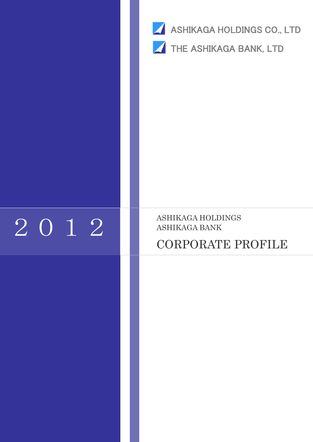

# 2012 BASHIKAGA HOLDI

# ASHIKAGA HOLDINGS

# CORPORATE PROFILE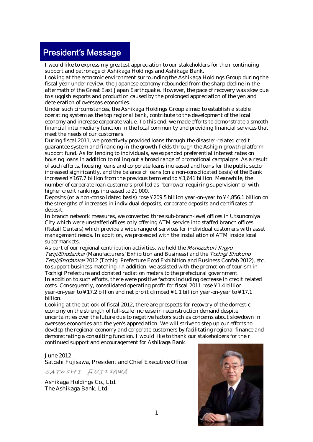# President's Message

I would like to express my greatest appreciation to our stakeholders for their continuing support and patronage of Ashikaga Holdings and Ashikaga Bank.

Looking at the economic environment surrounding the Ashikaga Holdings Group during the fiscal year under review, the Japanese economy rebounded from the sharp decline in the aftermath of the Great East Japan Earthquake. However, the pace of recovery was slow due to sluggish exports and production caused by the prolonged appreciation of the yen and deceleration of overseas economies.

Under such circumstances, the Ashikaga Holdings Group aimed to establish a stable operating system as the top regional bank, contribute to the development of the local economy and increase corporate value. To this end, we made efforts to demonstrate a smooth financial intermediary function in the local community and providing financial services that meet the needs of our customers.

During fiscal 2011, we proactively provided loans through the disaster-related credit guarantee system and financing in the growth fields through the Ashigin growth platform support fund. As for lending to individuals, we expanded preferential interest rates on housing loans in addition to rolling out a broad range of promotional campaigns. As a result of such efforts, housing loans and corporate loans increased and loans for the public sector increased significantly, and the balance of loans (on a non-consolidated basis) of the Bank increased ¥167.7 billion from the previous term end to ¥3,641 billion. Meanwhile, the number of corporate loan customers profiled as "borrower requiring supervision" or with higher credit rankings increased to 21,000.

Deposits (on a non-consolidated basis) rose ¥209.5 billion year-on-year to ¥4,856.1 billion on the strengths of increases in individual deposits, corporate deposits and certificates of deposit.

In branch network measures, we converted three sub-branch-level offices in Utsunomiya City which were unstaffed offices only offering ATM service into staffed branch offices (Retail Centers) which provide a wide range of services for individual customers with asset management needs. In addition, we proceeded with the installation of ATM inside local supermarkets.

As part of our regional contribution activities, we held the Monozukuri Kigyo Tenji/Shodankai (Manufacturers' Exhibition and Business) and the Tochigi Shokuno Tenji/Shodankai 2012 (Tochigi Prefecture Food Exhibition and Business Confab 2012), etc. to support business matching. In addition, we assisted with the promotion of tourism in Tochigi Prefecture and donated radiation meters to the prefectural government. In addition to such efforts, there were positive factors including decrease in credit related costs. Consequently, consolidated operating profit for fiscal 2011 rose ¥1.4 billion year-on-year to ¥17.2 billion and net profit climbed ¥1.1 billion year-on-year to ¥17.1 billion.

Looking at the outlook of fiscal 2012, there are prospects for recovery of the domestic economy on the strength of full-scale increase in reconstruction demand despite uncertainties over the future due to negative factors such as concerns about slowdown in overseas economies and the yen's appreciation. We will strive to step up our efforts to develop the regional economy and corporate customers by facilitating regional finance and demonstrating a consulting function. I would like to thank our stakeholders for their continued support and encouragement for Ashikaga Bank.

#### June 2012

Satoshi Fujisawa, President and Chief Executive Officer

SATOSHI FUJISAWA

Ashikaga Holdings Co., Ltd. The Ashikaga Bank, Ltd.

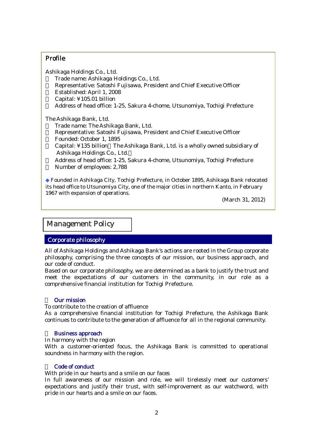#### Profile

 Ashikaga Holdings Co., Ltd. ・ Trade name: Ashikaga Holdings Co., Ltd. Representative: Satoshi Fujisawa, President and Chief Executive Officer Established: April 1, 2008 Capital: ¥105.01 billion ・ Address of head office: 1-25, Sakura 4-chome, Utsunomiya, Tochigi Prefecture

The Ashikaga Bank, Ltd.<br>Trade name: The Ashi Trade name: The Ashikaga Bank, Ltd. Representative: Satoshi Fujisawa, President and Chief Executive Officer ・ Founded: October 1, 1895 Capital: ¥135 billion The Ashikaga Bank, Ltd. is a wholly owned subsidiary of Ashikaga Holdings Co., Ltd. Address of head office: 1-25, Sakura 4-chome, Utsunomiya, Tochigi Prefecture Number of employees: 2,788

Founded in Ashikaga City, Tochigi Prefecture, in October 1895, Ashikaga Bank relocated its head office to Utsunomiya City, one of the major cities in northern Kanto, in February 1967 with expansion of operations.

(March 31, 2012)

#### Management Policy

#### Corporate philosophy

All of Ashikaga Holdings and Ashikaga Bank's actions are rooted in the Group corporate philosophy, comprising the three concepts of our mission, our business approach, and our code of conduct.

Based on our corporate philosophy, we are determined as a bank to justify the trust and meet the expectations of our customers in the community, in our role as a comprehensive financial institution for Tochigi Prefecture.

#### **Our mission**

To contribute to the creation of affluence

As a comprehensive financial institution for Tochigi Prefecture, the Ashikaga Bank continues to contribute to the generation of affluence for all in the regional community.

#### **Business approach**

In harmony with the region

With a customer-oriented focus, the Ashikaga Bank is committed to operational soundness in harmony with the region.

#### Code of conduct

With pride in our hearts and a smile on our faces

In full awareness of our mission and role, we will tirelessly meet our customers' expectations and justify their trust, with self-improvement as our watchword, with pride in our hearts and a smile on our faces.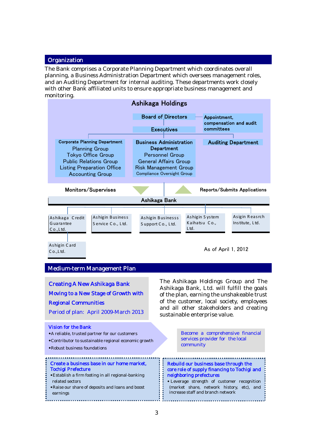#### **Organization**

Ī

The Bank comprises a Corporate Planning Department which coordinates overall planning, a Business Administration Department which oversees management roles, and an Auditing Department for internal auditing. These departments work closely with other Bank affiliated units to ensure appropriate business management and monitoring.

| <b>Ashikaga Holdings</b>                            |                                                              |                                                            |                              |  |                                      |                            |
|-----------------------------------------------------|--------------------------------------------------------------|------------------------------------------------------------|------------------------------|--|--------------------------------------|----------------------------|
|                                                     |                                                              |                                                            | <b>Board of Directors</b>    |  | Appointment,                         |                            |
|                                                     |                                                              |                                                            | <b>Executives</b>            |  | compensation and audit<br>committees |                            |
|                                                     |                                                              |                                                            |                              |  |                                      |                            |
|                                                     | <b>Corporate Planning Department</b>                         | <b>Business Administration</b>                             |                              |  |                                      | <b>Auditing Department</b> |
|                                                     | <b>Planning Group</b>                                        |                                                            | Department                   |  |                                      |                            |
|                                                     | Tokyo Office Group                                           |                                                            | <b>Personnel Group</b>       |  |                                      |                            |
|                                                     | <b>Public Relations Group</b>                                |                                                            | <b>General Affairs Group</b> |  |                                      |                            |
|                                                     | <b>Listing Preparation Office</b><br><b>Accounting Group</b> | <b>Risk Management Group</b><br>Compliance Oversight Group |                              |  |                                      |                            |
|                                                     |                                                              |                                                            |                              |  |                                      |                            |
| Monitors/Supervises<br>Reports/Submits Applications |                                                              |                                                            |                              |  |                                      |                            |
|                                                     |                                                              | Ashikaga Bank                                              |                              |  |                                      |                            |
|                                                     |                                                              |                                                            |                              |  |                                      |                            |
| Ashikaga Credit                                     | Ashigin Business                                             | Ashigin Businesss                                          |                              |  | Ashigin System                       | Asigin Reasrch             |
| Guarantee                                           | Service Co., Ltd.                                            | Support Co., Ltd.                                          |                              |  | Kaihatsu Co.,                        | Institute, Ltd.            |
| Co., Ltd.                                           |                                                              |                                                            | Ltd.                         |  |                                      |                            |
|                                                     |                                                              |                                                            |                              |  |                                      |                            |
| Ashigin Card                                        |                                                              |                                                            |                              |  | As of April 1, 2012                  |                            |
| $C_0$ ., Ltd.                                       |                                                              |                                                            |                              |  |                                      |                            |

#### Medium-term Management Plan

| <b>Creating A New Ashikaga Bank</b><br>Moving to a New Stage of Growth with<br><b>Regional Communities</b><br>Period of plan: April 2009-March 2013                                                      | The Ashikaga Holdings Group and The<br>Ashikaga Bank, Ltd. will fulfill the goals<br>of the plan, earning the unshakeable trust<br>of the customer, local society, employees<br>and all other stakeholders and creating<br>sustainable enterprise value. |  |
|----------------------------------------------------------------------------------------------------------------------------------------------------------------------------------------------------------|----------------------------------------------------------------------------------------------------------------------------------------------------------------------------------------------------------------------------------------------------------|--|
| <b>Vision for the Bank</b><br>• A reliable, trusted partner for our customers<br>*Contributor to sustainable regional economic growth<br>• Robust business foundations                                   | Become a comprehensive financial<br>services provider for the local<br>community                                                                                                                                                                         |  |
| Create a business base in our home market,<br>Tochigi Prefecture<br>*Establish a firm footing in all regional-banking<br>related sectors<br>*Raise our share of deposits and loans and boost<br>earnings | Rebuild our business base through the<br>core role of supply financing to Tochigi and<br>neighboring prefectures<br>* Leverage strength of customer recognition<br>(market share, network history, etc), and<br>increase staff and branch network        |  |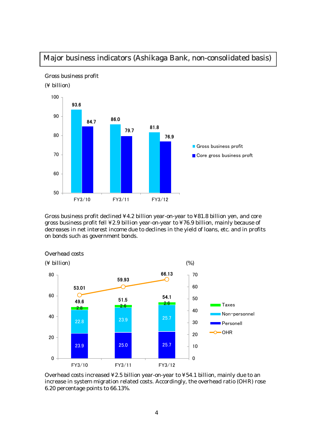## Major business indicators (Ashikaga Bank, non-consolidated basis)



Gross business profit

(¥ billion)

j

Gross business profit declined ¥4.2 billion year-on-year to ¥81.8 billion yen, and core gross business profit fell ¥2.9 billion year-on-year to ¥76.9 billion, mainly because of decreases in net interest income due to declines in the yield of loans, etc. and in profits on bonds such as government bonds.



#### Overhead costs

Overhead costs increased ¥2.5 billion year-on-year to ¥54.1 billion, mainly due to an increase in system migration related costs. Accordingly, the overhead ratio (OHR) rose 6.20 percentage points to 66.13%.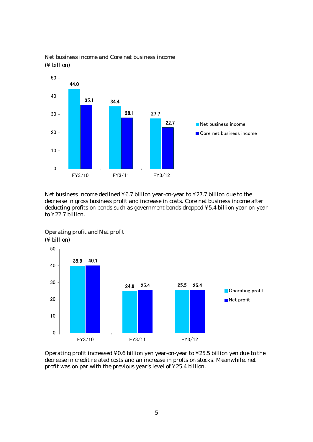![](_page_5_Figure_0.jpeg)

#### Net business income and Core net business income (¥ billion)

Net business income declined ¥6.7 billion year-on-year to ¥27.7 billion due to the decrease in gross business profit and increase in costs. Core net business income after deducting profits on bonds such as government bonds dropped ¥5.4 billion year-on-year to ¥22.7 billion.

![](_page_5_Figure_3.jpeg)

Operating profit and Net profit

(¥ billion)

Operating profit increased ¥0.6 billion yen year-on-year to ¥25.5 billion yen due to the decrease in credit related costs and an increase in profts on stocks. Meanwhile, net profit was on par with the previous year's level of ¥25.4 billion.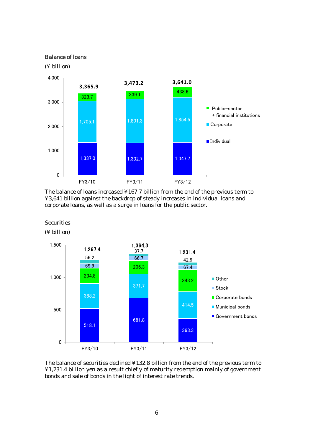#### Balance of loans

(¥ billion)

![](_page_6_Figure_2.jpeg)

The balance of loans increased ¥167.7 billion from the end of the previous term to ¥3,641 billion against the backdrop of steady increases in individual loans and corporate loans, as well as a surge in loans for the public sector.

#### **Securities**

(¥ billion)

![](_page_6_Figure_6.jpeg)

The balance of securities declined ¥132.8 billion from the end of the previous term to ¥1,231.4 billion yen as a result chiefly of maturity redemption mainly of government bonds and sale of bonds in the light of interest rate trends.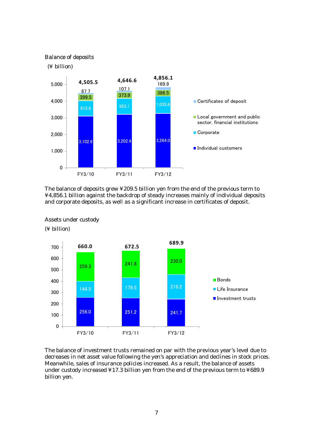![](_page_7_Figure_0.jpeg)

The balance of deposits grew ¥209.5 billion yen from the end of the previous term to ¥4,856.1 billion against the backdrop of steady increases mainly of individual deposits and corporate deposits, as well as a significant increase in certificates of deposit.

![](_page_7_Figure_2.jpeg)

#### Assets under custody

(¥ billion)

The balance of investment trusts remained on par with the previous year's level due to decreases in net asset value following the yen's appreciation and declines in stock prices. Meanwhile, sales of insurance policies increased. As a result, the balance of assets under custody increased ¥17.3 billion yen from the end of the previous term to ¥689.9 billion yen.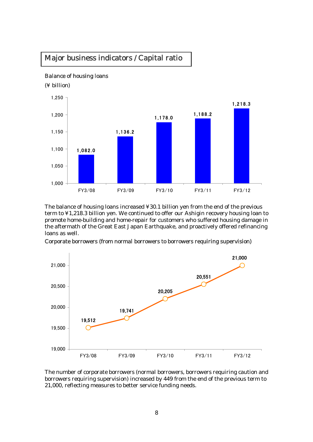# Major business indicators / Capital ratio

#### Balance of housing loans

(¥ billion)

j

![](_page_8_Figure_3.jpeg)

The balance of housing loans increased ¥30.1 billion yen from the end of the previous term to ¥1,218.3 billion yen. We continued to offer our Ashigin recovery housing loan to promote home-building and home-repair for customers who suffered housing damage in the aftermath of the Great East Japan Earthquake, and proactively offered refinancing loans as well.

Corporate borrowers (from normal borrowers to borrowers requiring supervision)

![](_page_8_Figure_6.jpeg)

The number of corporate borrowers (normal borrowers, borrowers requiring caution and borrowers requiring supervision) increased by 449 from the end of the previous term to 21,000, reflecting measures to better service funding needs.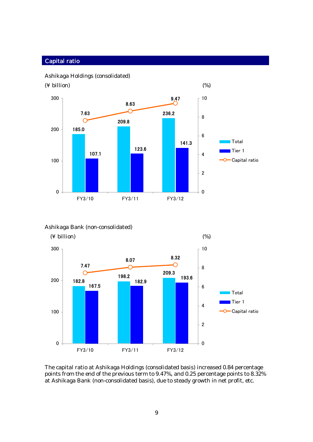#### Capital ratio

![](_page_9_Figure_1.jpeg)

![](_page_9_Figure_2.jpeg)

#### Ashikaga Bank (non-consolidated)

![](_page_9_Figure_4.jpeg)

The capital ratio at Ashikaga Holdings (consolidated basis) increased 0.84 percentage points from the end of the previous term to 9.47%, and 0.25 percentage points to 8.32% at Ashikaga Bank (non-consolidated basis), due to steady growth in net profit, etc.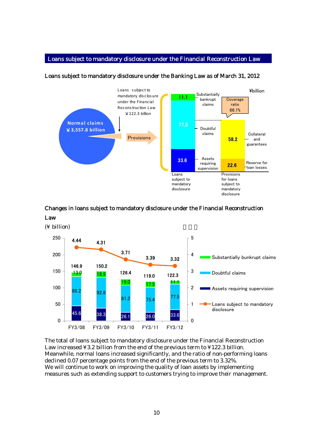#### Loans subject to mandatory disclosure under the Financial Reconstruction Law

![](_page_10_Figure_1.jpeg)

#### Loans subject to mandatory disclosure under the Banking Law as of March 31, 2012

# Changes in loans subject to mandatory disclosure under the Financial Reconstruction

![](_page_10_Figure_4.jpeg)

![](_page_10_Figure_5.jpeg)

![](_page_10_Figure_6.jpeg)

The total of loans subject to mandatory disclosure under the Financial Reconstruction Law increased ¥3.2 billion from the end of the previous term to ¥122.3 billion. Meanwhile, normal loans increased significantly, and the ratio of non-performing loans declined 0.07 percentage points from the end of the previous term to 3.32%. We will continue to work on improving the quality of loan assets by implementing measures such as extending support to customers trying to improve their management.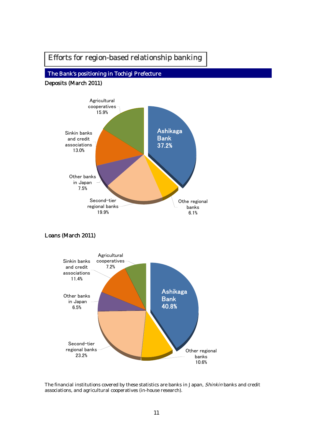# Efforts for region-based relationship banking

# The Bank's positioning in Tochigi Prefecture

Deposits (March 2011)

I I Ī

![](_page_11_Figure_3.jpeg)

#### Loans (March 2011)

![](_page_11_Figure_5.jpeg)

The financial institutions covered by these statistics are banks in Japan, Shinkin banks and credit associations, and agricultural cooperatives (in-house research).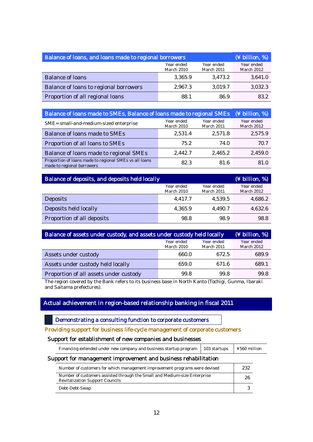| Balance of loans, and loans made to regional borrowers | (¥ billion, %)           |                          |                          |
|--------------------------------------------------------|--------------------------|--------------------------|--------------------------|
|                                                        | Year ended<br>March 2010 | Year ended<br>March 2011 | Year ended<br>March 2012 |
| <b>Balance of loans</b>                                | 3,365.9                  | 3,473.2                  | 3,641.0                  |
| Balance of loans to regional borrowers                 | 2,967.3                  | 3,019.7                  | 3,032.3                  |
| Proportion of all regional loans                       | 88.1                     | 86.9                     | 83.2                     |

| Balance of loans made to SMEs, Balance of loans made to regional SMEs                | (¥ billion, %)                  |                          |                          |
|--------------------------------------------------------------------------------------|---------------------------------|--------------------------|--------------------------|
| SME= small-and-medium-sized enterprise                                               | Year ended<br><b>March 2010</b> | Year ended<br>March 2011 | Year ended<br>March 2012 |
| <b>Balance of loans made to SMEs</b>                                                 | 2,531.4                         | 2,571.8                  | 2,575.9                  |
| Proportion of all loans to SMEs                                                      | 75.2                            | 74.0                     | 70.7                     |
| Balance of loans made to regional SMEs                                               | 2,442.7                         | 2,465.2                  | 2,459.0                  |
| Proportion of loans made to regional SMEs vs all loans<br>made to regional borrowers | 82.3                            | 81.6                     | 81.0                     |

| Balance of deposits, and deposits held locally |                          |                          | (¥ billion, %)           |
|------------------------------------------------|--------------------------|--------------------------|--------------------------|
|                                                | Year ended<br>March 2010 | Year ended<br>March 2011 | Year ended<br>March 2012 |
| <b>Deposits</b>                                | 4,417.7                  | 4,539.5                  | 4,686.2                  |
| Deposits held locally                          | 4,365.9                  | 4,490.7                  | 4,632.6                  |
| Proportion of all deposits                     | 98.8                     | 98.9                     | 98.8                     |

| Balance of assets under custody, and assets under custody held locally |                          |                          | $(\frac{1}{2}$ billion, %) |
|------------------------------------------------------------------------|--------------------------|--------------------------|----------------------------|
|                                                                        | Year ended<br>March 2010 | Year ended<br>March 2011 | Year ended<br>March 2012   |
| Assets under custody                                                   | 660.0                    | 672.5                    | 689.9                      |
| Assets under custody held locally                                      | 659.0                    | 671.6                    | 689.1                      |
| Proportion of all assets under custody                                 | 99.8                     | 99.8                     | 99.8                       |

The region covered by the Bank refers to its business base in North Kanto (Tochigi, Gunma, Ibaraki and Saitama prefectures).

#### Actual achievement in region-based relationship banking in fiscal 2011

Demonstrating a consulting function to corporate customers

#### Providing support for business life-cycle management of corporate customers

#### Support for establishment of new companies and businesses

Financing extended under new company and business startup program | 103 startups | ¥560 million

#### Support for management improvement and business rehabilitation

| Number of customers for which management improvement programs were devised                                          | 232 |
|---------------------------------------------------------------------------------------------------------------------|-----|
| Number of customers assisted through the Small and Medium-size Enterprise<br><b>Revitalization Support Councils</b> | 26  |
| Debt-Debt-Swap                                                                                                      |     |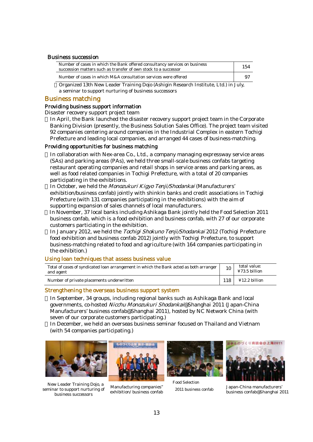#### Business succession

| Number of cases in which the Bank offered consultancy services on business<br>succession matters such as transfer of own stock to a successor | 154  |
|-----------------------------------------------------------------------------------------------------------------------------------------------|------|
| Number of cases in which M&A consultation services were offered                                                                               | . 9~ |

Organized 13th New Leader Training Dojo (Ashigin Research Institute, Ltd.) in July, a seminar to support nurturing of business successors

#### Business matching

#### Providing business support information

Disaster recovery support project team

In April, the Bank launched the disaster recovery support project team in the Corporate Banking Division (presently, the Business Solution Sales Office). The project team visited 92 companies centering around companies in the Industrial Complex in eastern Tochigi Prefecture and leading local companies, and arranged 44 cases of business-matching.

#### Providing opportunities for business matching

In collaboration with Nex-area Co., Ltd., a company managing expressway service areas (SAs) and parking areas (PAs), we held three small-scale business confabs targeting restaurant operating companies and retail shops in service areas and parking areas, as well as food related companies in Tochigi Prefecture, with a total of 20 companies participating in the exhibitions.

In October, we held the Monozukuri Kigyo Tenji/Shodankai (Manufacturers' exhibition/business confab) jointly with shinkin banks and credit associations in Tochigi Prefecture (with 131 companies participating in the exhibitions) with the aim of supporting expansion of sales channels of local manufacturers.

In November, 37 local banks including Ashikaga Bank jointly held the Food Selection 2011 business confab, which is a food exhibition and business confab, with 27 of our corporate customers particiating in the exhibition.

In January 2012, we held the Tochigi Shokuno Tenji/Shodankai 2012 (Tochigi Prefecture food exhibition and business confab 2012) jointly with Tochigi Prefecture, to support business-matching related to food and agriculture (with 164 companies participating in the exhibition.)

#### Using loan techniques that assess business value

| Total of cases of syndicated loan arrangement in which the Bank acted as both arranger |     | total value:                       |
|----------------------------------------------------------------------------------------|-----|------------------------------------|
| and agent                                                                              |     | ¥73.5 billion                      |
| Number of private placements underwritten                                              | 118 | $\text{\textsterling}12.2$ billion |

#### Strengthening the overseas business support system

In September, 34 groups, including regional banks such as Ashikaga Bank and local governments, co-hosted Nicchu Monozukuri Shodankai@Shanghai 2011 (Japan-China Manufacturers' business confab@Shanghai 2011), hosted by NC Network China (with seven of our corporate customers participating.)

In December, we held an overseas business seminar focused on Thailand and Vietnam (with 54 companies participating.)

![](_page_13_Picture_17.jpeg)

New Leader Training Dojo, a seminar to support nurturing of business successors

![](_page_13_Picture_19.jpeg)

Manufacturing companies'' exhibition/ business confab

![](_page_13_Picture_21.jpeg)

Food Selection

![](_page_13_Picture_23.jpeg)

2011 business confab Japan-China manufacturers' business confab@Shanghai 2011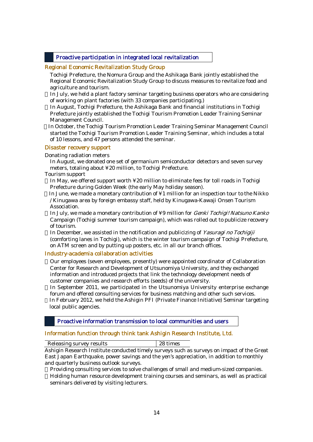#### Proactive participation in integrated local revitalization

#### Regional Economic Revitalization Study Group

 Tochigi Prefecture, the Nomura Group and the Ashikaga Bank jointly established the Regional Economic Revitalization Study Group to discuss measures to revitalize food and agriculture and tourism.

In July, we held a plant factory seminar targeting business operators who are considering of working on plant factories (with 33 companies participating.)

In August, Tochigi Prefecture, the Ashikaga Bank and financial institutions in Tochigi Prefecture jointly established the Tochigi Tourism Promotion Leader Training Seminar Management Council.

In October, the Tochigi Tourism Promotion Leader Training Seminar Management Council started the Tochigi Tourism Promotion Leader Training Seminar, which includes a total of 10 lessons, and 47 persons attended the seminar.

#### Disaster recovery support

#### Donating radiation meters

 In August, we donated one set of germanium semiconductor detectors and seven survey meters, totaling about ¥20 million, to Tochigi Prefecture.

#### Tourism support

In May, we offered support worth ¥20 million to eliminate fees for toll roads in Tochigi Prefecture during Golden Week (the early May holiday season).

In June, we made a monetary contribution of ¥1 million for an inspection tour to the Nikko / Kinugawa area by foreign embassy staff, held by Kinugawa-Kawaji Onsen Tourism Association.

In July, we made a monetary contribution of ¥9 million for Genki Tochigi! Natsuno Kanko Campaign (Tochigi summer tourism campaign), which was rolled out to publicize recovery of tourism.

In December, we assisted in the notification and publicizing of Yasuragi no Tochigiji (comforting lanes in Tochigi), which is the winter tourism campaign of Tochigi Prefecture, on ATM screen and by putting up posters, etc. in all our branch offices.

#### Industry-academia collaboration activities

Our employees (seven employees, presently) were appointed coordinator of Collaboration Center for Research and Development of Utsunomiya University, and they exchanged information and introduced projects that link the technology development needs of customer companies and research efforts (seeds) of the university.

In September 2011, we participated in the Utsunomiya University enterprise exchange forum and offered consulting services for business matching and other such services. In February 2012, we held the Ashigin PFI (Private Finance Initiative) Seminar targeting local public agencies.

Proactive information transmission to local communities and users

#### Information function through think tank Ashigin Research Institute, Ltd.

| Releasing survey results                                                                                                                                                                                                           | 28 times |  |
|------------------------------------------------------------------------------------------------------------------------------------------------------------------------------------------------------------------------------------|----------|--|
| <b>A</b> defined to the contract of the contract of the contract of the contract of the contract of the contract of the contract of the contract of the contract of the contract of the contract of the contract of the contract o |          |  |

Ashigin Research Institute conducted timely surveys such as surveys on impact of the Great East Japan Earthquake, power savings and the yen's appreciation, in addition to monthly and quarterly business outlook surveys.

Providing consulting services to solve challenges of small and medium-sized companies. Holding human resource development training courses and seminars, as well as practical seminars delivered by visiting lecturers.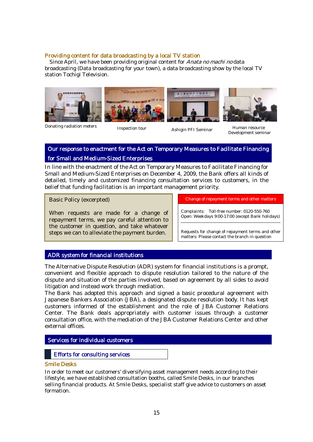#### Providing content for data broadcasting by a local TV station

 Since April, we have been providing original content for Anata no machi no data broadcasting (Data broadcasting for your town), a data broadcasting show by the local TV station Tochigi Television.

![](_page_15_Picture_2.jpeg)

Donating radiation meters

Inspection tour Ashigin PFI Seminar Human resource

![](_page_15_Picture_6.jpeg)

Development seminar

#### Our response to enactment for the Act on Temporary Measures to Facilitate Financing for Small and Medium-Sized Enterprises

In line with the enactment of the Act on Temporary Measures to Facilitate Financing for Small and Medium-Sized Enterprises on December 4, 2009, the Bank offers all kinds of detailed, timely and customized financing consultation services to customers, in the belief that funding facilitation is an important management priority.

Basic Policy (excerpted)

L

When requests are made for a change of repayment terms, we pay careful attention to the customer in question, and take whatever steps we can to alleviate the payment burden.

Change of repayment terms and other matters

Complaints: Toll-free number: 0120-550-760 Open: Weekdays 9:00-17:00 (except Bank holidays)

Requests for change of repayment terms and other matters: Please contact the branch in question

#### ADR system for financial institutions

The Alternative Dispute Resolution (ADR) system for financial institutions is a prompt, convenient and flexible approach to dispute resolution tailored to the nature of the dispute and situation of the parties involved, based on agreement by all sides to avoid litigation and instead work through mediation.

The Bank has adopted this approach and signed a basic procedural agreement with Japanese Bankers Association (JBA), a designated dispute resolution body. It has kept customers informed of the establishment and the role of JBA Customer Relations Center. The Bank deals appropriately with customer issues through a customer consultation office, with the mediation of the JBA Customer Relations Center and other external offices.

#### Services for individual customers

#### Efforts for consulting services

#### Smile Desks

l,

In order to meet our customers' diversifying asset management needs according to their lifestyle, we have established consultation booths, called Smile Desks, in our branches selling financial products. At Smile Desks, specialist staff give advice to customers on asset formation.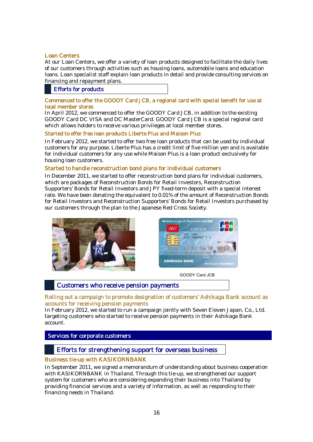#### Loan Centers

At our Loan Centers, we offer a variety of loan products designed to facilitate the daily lives of our customers through activities such as housing loans, automobile loans and education loans. Loan specialist staff explain loan products in detail and provide consulting services on financing and repayment plans.

#### Efforts for products

#### Commenced to offer the GOODY Card JCB, a regional card with special benefit for use at local member stores

In April 2012, we commenced to offer the GOODY Card JCB, in addition to the existing GOODY Card DC VISA and DC MasterCard. GOODY Card JCB is a special regional card which allows holders to receive various privileges at local member stores.

#### Started to offer free loan products Liberte Plus and Maison Plus

In February 2012, we started to offer two free loan products that can be used by individual customers for any purpose. Liberte Plus has a credit limit of five million yen and is available for individual customers for any use while Maison Plus is a loan product exclusively for housing loan customers.

#### Started to handle reconstruction bond plans for individual customers

In December 2011, we started to offer reconstruction bond plans for individual customers, which are packages of Reconstruction Bonds for Retail Investors, Reconstruction Supporters' Bonds for Retail Investors and JPY fixed-term deposit with a special interest rate. We have been donating the equivalent to 0.01% of the amount of Reconstruction Bonds for Retail Investors and Reconstruction Supporters' Bonds for Retail Investors purchased by our customers through the plan to the Japanese Red Cross Society.

![](_page_16_Picture_9.jpeg)

![](_page_16_Picture_10.jpeg)

GOODY Card JCB

#### Customers who receive pension payments

#### Rolling out a campaign to promote designation of customers' Ashikaga Bank account as accounts for receiving pension payments

In February 2012, we started to run a campaign jointly with Seven Eleven Japan, Co., Ltd. targeting customers who started to receive pension payments in their Ashikaga Bank account.

 Services for corporate customers

#### Efforts for strengthening support for overseas business

#### Business tie-up with KASIKORNBANK

In September 2011, we signed a memorandum of understanding about business cooperation with KASIKORNBANK in Thailand. Through this tie-up, we strengthened our support system for customers who are considering expanding their business into Thailand by providing financial services and a variety of information, as well as responding to their financing needs in Thailand.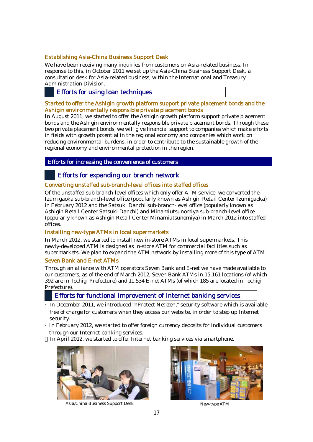#### Establishing Asia-China Business Support Desk

We have been receiving many inquiries from customers on Asia-related business. In response to this, in October 2011 we set up the Asia-China Business Support Desk, a consultation desk for Asia-related business, within the International and Treasury Administration Division.

#### Efforts for using loan techniques

#### Started to offer the Ashigin growth platform support private placement bonds and the Ashigin environmentally responsible private placement bonds

In August 2011, we started to offer the Ashigin growth platform support private placement bonds and the Ashigin environmentally responsible private placement bonds. Through these two private placement bonds, we will give financial support to companies which make efforts in fields with growth potential in the regional economy and companies which work on reducing environmental burdens, in order to contribute to the sustainable growth of the regional economy and environmental protection in the region.

#### S Efforts for increasing the convenience of customers

#### Efforts for expanding our branch network

#### Converting unstaffed sub-branch-level offices into staffed offices

Of the unstaffed sub-branch-level offices which only offer ATM service, we converted the Izumigaoka sub-branch-level office (popularly known as Ashigin Retail Center Izumigaoka) in February 2012 and the Satsuki Danchi sub-branch-level office (popularly known as Ashigin Retail Center Satsuki Danchi) and Minamiutsunomiya sub-branch-level office (popularly known as Ashigin Retail Center Minamiutsunomiya) in March 2012 into staffed offices.

#### Installing new-type ATMs in local supermarkets

In March 2012, we started to install new in-store ATMs in local supermarkets. This newly-developed ATM is designed as in-store ATM for commercial facilities such as supermarkets. We plan to expand the ATM network by installing more of this type of ATM.

#### Seven Bank and E-net ATMs

Through an alliance with ATM operators Seven Bank and E-net we have made available to our customers, as of the end of March 2012, Seven Bank ATMs in 15,161 locations (of which 392 are in Tochigi Prefecture) and 11,534 E-net ATMs (of which 185 are located in Tochigi Prefecture).

#### Efforts for functional improvement of Internet banking services

- ・In December 2011, we introduced "nProtect Netizen," security software which is available free of charge for customers when they access our website, in order to step up Internet security.
- ・In February 2012, we started to offer foreign currency deposits for individual customers through our Internet banking services.

In April 2012, we started to offer Internet banking services via smartphone.

![](_page_17_Picture_17.jpeg)

Asia/China Business Support Desk New-type ATM

![](_page_17_Picture_19.jpeg)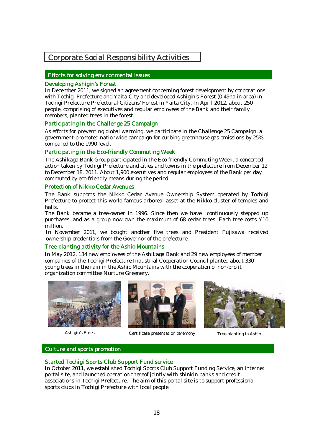## Corporate Social Responsibility Activities

#### Efforts for solving environmental issues

#### Developing Ashigin's Forest

I

In December 2011, we signed an agreement concerning forest development by corporations with Tochigi Prefecture and Yaita City and developed Ashigin's Forest (0.49ha in area) in Tochigi Prefecture Prefectural Citizens' Forest in Yaita City. In April 2012, about 250 people, comprising of executives and regular employees of the Bank and their family members, planted trees in the forest.

#### Participating in the Challenge 25 Campaign

As efforts for preventing global warming, we participate in the Challenge 25 Campaign, a government-promoted nationwide campaign for curbing greenhouse gas emissions by 25% compared to the 1990 level.

#### Participating in the Eco-friendly Commuting Week

The Ashikaga Bank Group participated in the Eco-friendly Commuting Week, a concerted action taken by Tochigi Prefecture and cities and towns in the prefecture from December 12 to December 18, 2011. About 1,900 executives and regular employees of the Bank per day commuted by eco-friendly means during the period.

#### Protection of Nikko Cedar Avenues

The Bank supports the Nikko Cedar Avenue Ownership System operated by Tochigi Prefecture to protect this world-famous arboreal asset at the Nikko cluster of temples and halls.

The Bank became a tree-owner in 1996. Since then we have continuously stepped up purchases, and as a group now own the maximum of 68 cedar trees. Each tree costs ¥10 million.

In November 2011, we bought another five trees and President Fujisawa received ownership credentials from the Governor of the prefecture.

#### Tree-planting activity for the Ashio Mountains

In May 2012, 134 new employees of the Ashikaga Bank and 29 new employees of member companies of the Tochigi Prefecture Industrial Cooperation Council planted about 330 young trees in the rain in the Ashio Mountains with the cooperation of non-profit organization committee Nurture Greenery.

![](_page_18_Picture_14.jpeg)

Ashigin's Forest

![](_page_18_Picture_16.jpeg)

Certificate presentation ceremony Tree-planting in Ashio

![](_page_18_Picture_18.jpeg)

#### j l Culture and sports promotion

#### Started Tochigi Sports Club Support Fund service

In October 2011, we established Tochigi Sports Club Support Funding Service, an internet portal site, and launched operation thereof jointly with shinkin banks and credit associations in Tochigi Prefecture. The aim of this portal site is to support professional sports clubs in Tochigi Prefecture with local people.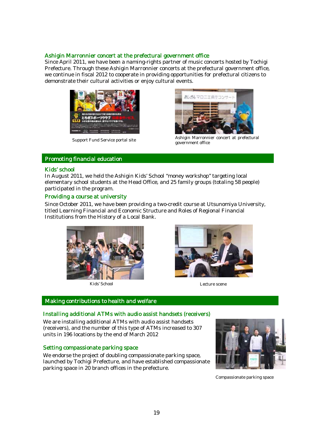#### Ashigin Marronnier concert at the prefectural government office

Since April 2011, we have been a naming-rights partner of music concerts hosted by Tochigi Prefecture. Through these Ashigin Marronnier concerts at the prefectural government office, we continue in fiscal 2012 to cooperate in providing opportunities for prefectural citizens to demonstrate their cultural activities or enjoy cultural events.

![](_page_19_Picture_2.jpeg)

Support Fund Service portal site<br>government office

![](_page_19_Picture_4.jpeg)

Ashigin Marronnier concert at prefectural

#### ï Promoting financial education

#### Kids' school

In August 2011, we held the Ashigin Kids' School "money workshop" targeting local elementary school students at the Head Office, and 25 family groups (totaling 58 people) participated in the program.

#### Providing a course at university

Since October 2011, we have been providing a two-credit course at Utsunomiya University, titled Learning Financial and Economic Structure and Roles of Regional Financial Institutions from the History of a Local Bank.

![](_page_19_Picture_11.jpeg)

Kids' School Lecture scene

![](_page_19_Picture_13.jpeg)

#### Making contributions to health and welfare

# Installing additional ATMs with audio assist handsets (receivers)

 We are installing additional ATMs with audio assist handsets (receivers), and the number of this type of ATMs increased to 307 units in 196 locations by the end of March 2012

#### Setting compassionate parking space

 We endorse the project of doubling compassionate parking space, parking space in 20 branch offices in the prefecture. launched by Tochigi Prefecture, and have established compassionate

![](_page_19_Picture_20.jpeg)

Compassionate parking space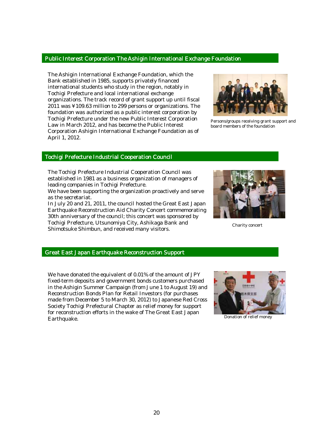#### Public Interest Corporation The Ashigin International Exchange Foundation

The Ashigin International Exchange Foundation, which the Bank established in 1985, supports privately financed international students who study in the region, notably in Tochigi Prefecture and local international exchange organizations. The track record of grant support up until fiscal 2011 was ¥109.63 million to 299 persons or organizations. The foundation was authorized as a public interest corporation by Tochigi Prefecture under the new Public Interest Corporation Law in March 2012, and has become the Public Interest Corporation Ashigin International Exchange Foundation as of April 1, 2012.

![](_page_20_Picture_2.jpeg)

Persons/groups receiving grant support and board members of the foundation

#### į Tochigi Prefecture Industrial Cooperation Council

The Tochigi Prefecture Industrial Cooperation Council was established in 1981 as a business organization of managers of leading companies in Tochigi Prefecture.

We have been supporting the organization proactively and serve as the secretariat.

In July 20 and 21, 2011, the council hosted the Great East Japan Earthquake Reconstruction Aid Charity Concert commemorating 30th anniversary of the council; this concert was sponsored by Tochigi Prefecture, Utsunomiya City, Ashikaga Bank and Shimotsuke Shimbun, and received many visitors.

![](_page_20_Picture_8.jpeg)

Charity concert

# Great East Japan Earthquake Reconstruction Support

We have donated the equivalent of 0.01% of the amount of JPY fixed-term deposits and government bonds customers purchased in the Ashigin Summer Campaign (from June 1 to August 19) and Reconstruction Bonds Plan for Retail Investors (for purchases made from December 5 to March 30, 2012) to Japanese Red Cross Society Tochigi Prefectural Chapter as relief money for support for reconstruction efforts in the wake of The Great East Japan Earthquake.

![](_page_20_Picture_12.jpeg)

Donation of relief money